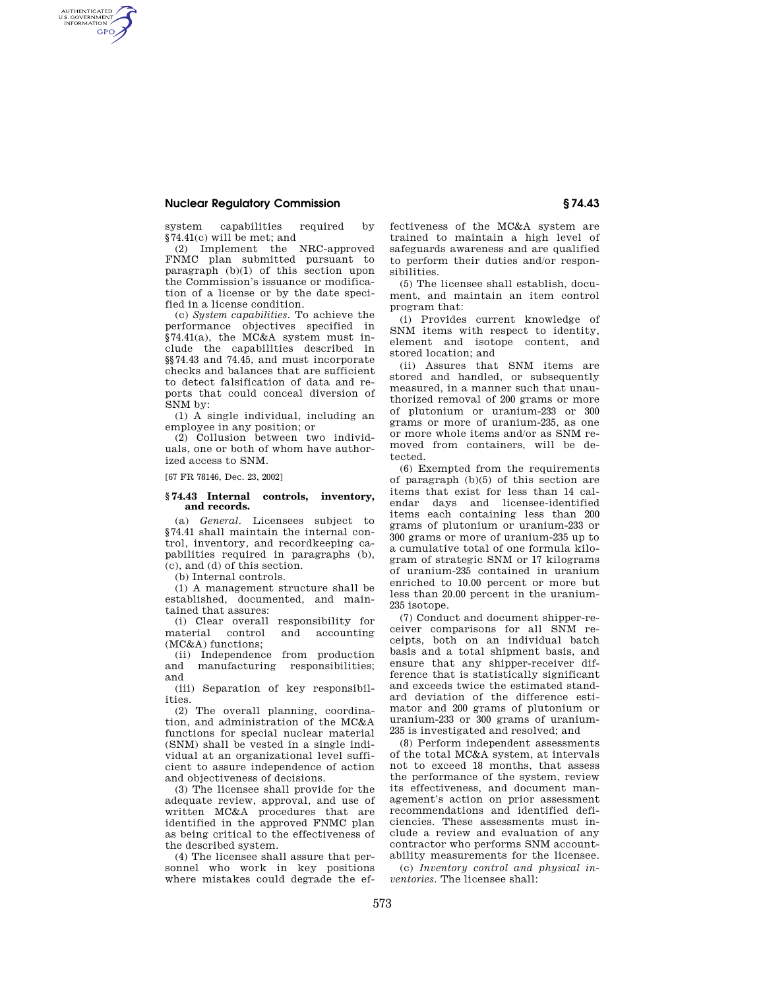## **Nuclear Regulatory Commission § 74.43**

AUTHENTICATED<br>U.S. GOVERNMENT<br>INFORMATION **GPO** 

> system capabilities required by §74.41(c) will be met; and

(2) Implement the NRC-approved FNMC plan submitted pursuant to paragraph (b)(1) of this section upon the Commission's issuance or modification of a license or by the date specified in a license condition.

(c) *System capabilities.* To achieve the performance objectives specified in §74.41(a), the MC&A system must include the capabilities described in §§74.43 and 74.45, and must incorporate checks and balances that are sufficient to detect falsification of data and reports that could conceal diversion of SNM by:

(1) A single individual, including an employee in any position; or

(2) Collusion between two individuals, one or both of whom have authorized access to SNM.

[67 FR 78146, Dec. 23, 2002]

## **§ 74.43 Internal controls, inventory, and records.**

(a) *General.* Licensees subject to §74.41 shall maintain the internal control, inventory, and recordkeeping capabilities required in paragraphs (b), (c), and (d) of this section.

(b) Internal controls.

(1) A management structure shall be established, documented, and maintained that assures:

(i) Clear overall responsibility for material control and accounting (MC&A) functions;

(ii) Independence from production and manufacturing responsibilities; and

(iii) Separation of key responsibilities.

(2) The overall planning, coordination, and administration of the MC&A functions for special nuclear material (SNM) shall be vested in a single individual at an organizational level sufficient to assure independence of action and objectiveness of decisions.

(3) The licensee shall provide for the adequate review, approval, and use of written MC&A procedures that are identified in the approved FNMC plan as being critical to the effectiveness of the described system.

(4) The licensee shall assure that personnel who work in key positions where mistakes could degrade the effectiveness of the MC&A system are trained to maintain a high level of safeguards awareness and are qualified to perform their duties and/or responsibilities.

(5) The licensee shall establish, document, and maintain an item control program that:

(i) Provides current knowledge of SNM items with respect to identity, element and isotope content, and stored location; and

(ii) Assures that SNM items are stored and handled, or subsequently measured, in a manner such that unauthorized removal of 200 grams or more of plutonium or uranium-233 or 300 grams or more of uranium-235, as one or more whole items and/or as SNM removed from containers, will be detected.

(6) Exempted from the requirements of paragraph (b)(5) of this section are items that exist for less than 14 calendar days and licensee-identified items each containing less than 200 grams of plutonium or uranium-233 or 300 grams or more of uranium-235 up to a cumulative total of one formula kilogram of strategic SNM or 17 kilograms of uranium-235 contained in uranium enriched to 10.00 percent or more but less than 20.00 percent in the uranium-235 isotope.

(7) Conduct and document shipper-receiver comparisons for all SNM receipts, both on an individual batch basis and a total shipment basis, and ensure that any shipper-receiver difference that is statistically significant and exceeds twice the estimated standard deviation of the difference estimator and 200 grams of plutonium or uranium-233 or 300 grams of uranium-235 is investigated and resolved; and

(8) Perform independent assessments of the total MC&A system, at intervals not to exceed 18 months, that assess the performance of the system, review its effectiveness, and document management's action on prior assessment recommendations and identified deficiencies. These assessments must include a review and evaluation of any contractor who performs SNM accountability measurements for the licensee.

(c) *Inventory control and physical inventories.* The licensee shall: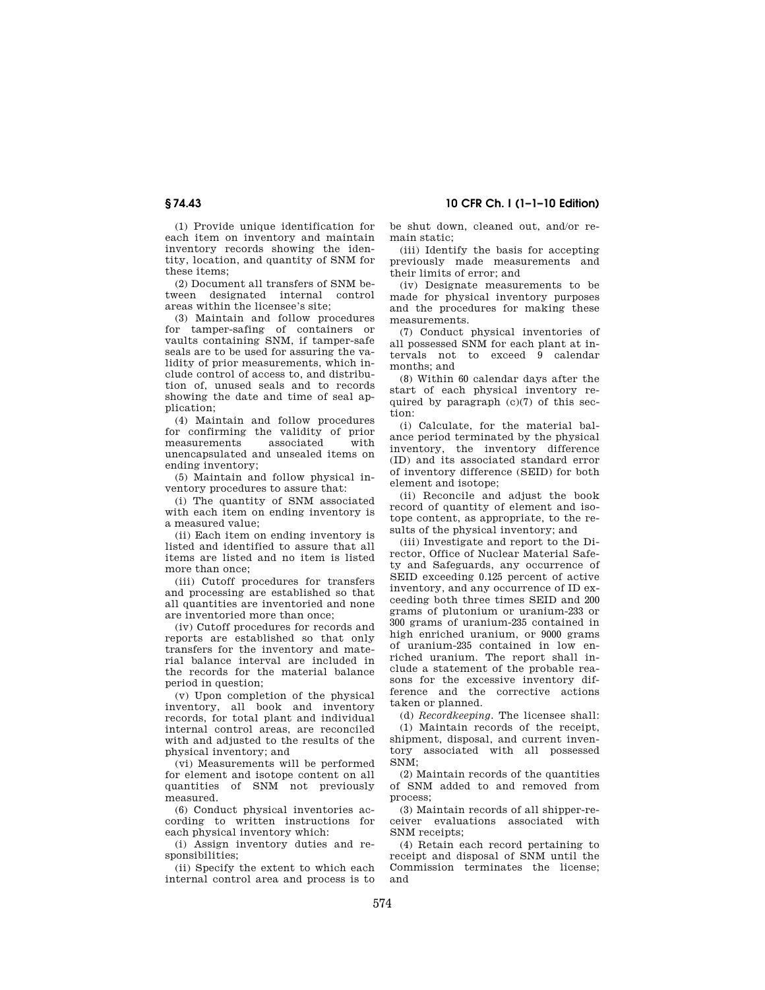(1) Provide unique identification for each item on inventory and maintain inventory records showing the identity, location, and quantity of SNM for these items;

(2) Document all transfers of SNM between designated internal control areas within the licensee's site;

(3) Maintain and follow procedures for tamper-safing of containers or vaults containing SNM, if tamper-safe seals are to be used for assuring the validity of prior measurements, which include control of access to, and distribution of, unused seals and to records showing the date and time of seal application;

(4) Maintain and follow procedures for confirming the validity of prior measurements unencapsulated and unsealed items on ending inventory;

(5) Maintain and follow physical inventory procedures to assure that:

(i) The quantity of SNM associated with each item on ending inventory is a measured value;

(ii) Each item on ending inventory is listed and identified to assure that all items are listed and no item is listed more than once;

(iii) Cutoff procedures for transfers and processing are established so that all quantities are inventoried and none are inventoried more than once;

(iv) Cutoff procedures for records and reports are established so that only transfers for the inventory and material balance interval are included in the records for the material balance period in question;

(v) Upon completion of the physical inventory, all book and inventory records, for total plant and individual internal control areas, are reconciled with and adjusted to the results of the physical inventory; and

(vi) Measurements will be performed for element and isotope content on all quantities of SNM not previously measured.

(6) Conduct physical inventories according to written instructions for each physical inventory which:

(i) Assign inventory duties and responsibilities;

(ii) Specify the extent to which each internal control area and process is to be shut down, cleaned out, and/or remain static;

(iii) Identify the basis for accepting previously made measurements and their limits of error; and

(iv) Designate measurements to be made for physical inventory purposes and the procedures for making these measurements.

(7) Conduct physical inventories of all possessed SNM for each plant at intervals not to exceed 9 calendar months; and

(8) Within 60 calendar days after the start of each physical inventory required by paragraph (c)(7) of this section:

(i) Calculate, for the material balance period terminated by the physical inventory, the inventory difference (ID) and its associated standard error of inventory difference (SEID) for both element and isotope;

(ii) Reconcile and adjust the book record of quantity of element and isotope content, as appropriate, to the results of the physical inventory; and

(iii) Investigate and report to the Director, Office of Nuclear Material Safety and Safeguards, any occurrence of SEID exceeding 0.125 percent of active inventory, and any occurrence of ID exceeding both three times SEID and 200 grams of plutonium or uranium-233 or 300 grams of uranium-235 contained in high enriched uranium, or 9000 grams of uranium-235 contained in low enriched uranium. The report shall include a statement of the probable reasons for the excessive inventory difference and the corrective actions taken or planned.

(d) *Recordkeeping.* The licensee shall:

(1) Maintain records of the receipt, shipment, disposal, and current inventory associated with all possessed SNM;

(2) Maintain records of the quantities of SNM added to and removed from process;

(3) Maintain records of all shipper-receiver evaluations associated with SNM receipts;

(4) Retain each record pertaining to receipt and disposal of SNM until the Commission terminates the license; and